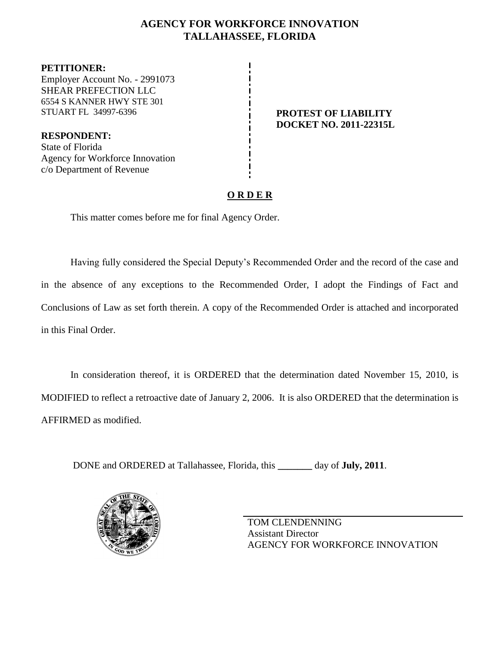# **AGENCY FOR WORKFORCE INNOVATION TALLAHASSEE, FLORIDA**

**PETITIONER:** Employer Account No. - 2991073 SHEAR PREFECTION LLC 6554 S KANNER HWY STE 301 STUART FL 34997-6396 **PROTEST OF LIABILITY** 

**RESPONDENT:** State of Florida Agency for Workforce Innovation c/o Department of Revenue

# **DOCKET NO. 2011-22315L**

# **O R D E R**

This matter comes before me for final Agency Order.

Having fully considered the Special Deputy's Recommended Order and the record of the case and in the absence of any exceptions to the Recommended Order, I adopt the Findings of Fact and Conclusions of Law as set forth therein. A copy of the Recommended Order is attached and incorporated in this Final Order.

In consideration thereof, it is ORDERED that the determination dated November 15, 2010, is MODIFIED to reflect a retroactive date of January 2, 2006. It is also ORDERED that the determination is AFFIRMED as modified.

DONE and ORDERED at Tallahassee, Florida, this **\_\_\_\_\_\_\_** day of **July, 2011**.



TOM CLENDENNING Assistant Director AGENCY FOR WORKFORCE INNOVATION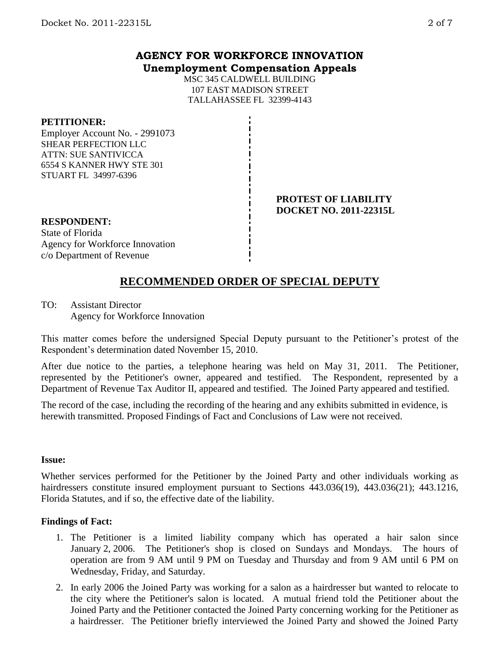## **AGENCY FOR WORKFORCE INNOVATION Unemployment Compensation Appeals**

MSC 345 CALDWELL BUILDING 107 EAST MADISON STREET TALLAHASSEE FL 32399-4143

#### **PETITIONER:**

Employer Account No. - 2991073 SHEAR PERFECTION LLC ATTN: SUE SANTIVICCA 6554 S KANNER HWY STE 301 STUART FL 34997-6396

#### **PROTEST OF LIABILITY DOCKET NO. 2011-22315L**

# **RESPONDENT:** State of Florida

Agency for Workforce Innovation c/o Department of Revenue

# **RECOMMENDED ORDER OF SPECIAL DEPUTY**

TO: Assistant Director Agency for Workforce Innovation

This matter comes before the undersigned Special Deputy pursuant to the Petitioner's protest of the Respondent's determination dated November 15, 2010.

After due notice to the parties, a telephone hearing was held on May 31, 2011. The Petitioner, represented by the Petitioner's owner, appeared and testified. The Respondent, represented by a Department of Revenue Tax Auditor II, appeared and testified. The Joined Party appeared and testified.

The record of the case, including the recording of the hearing and any exhibits submitted in evidence, is herewith transmitted. Proposed Findings of Fact and Conclusions of Law were not received.

#### **Issue:**

Whether services performed for the Petitioner by the Joined Party and other individuals working as hairdressers constitute insured employment pursuant to Sections 443.036(19), 443.036(21); 443.1216, Florida Statutes, and if so, the effective date of the liability.

### **Findings of Fact:**

- 1. The Petitioner is a limited liability company which has operated a hair salon since January 2, 2006. The Petitioner's shop is closed on Sundays and Mondays. The hours of operation are from 9 AM until 9 PM on Tuesday and Thursday and from 9 AM until 6 PM on Wednesday, Friday, and Saturday.
- 2. In early 2006 the Joined Party was working for a salon as a hairdresser but wanted to relocate to the city where the Petitioner's salon is located. A mutual friend told the Petitioner about the Joined Party and the Petitioner contacted the Joined Party concerning working for the Petitioner as a hairdresser. The Petitioner briefly interviewed the Joined Party and showed the Joined Party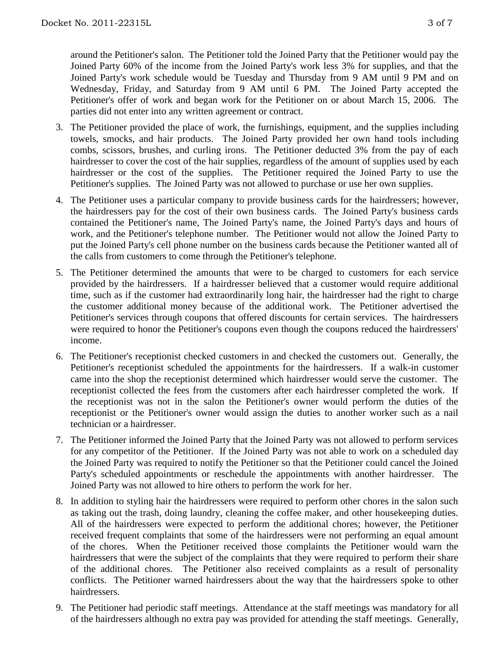around the Petitioner's salon. The Petitioner told the Joined Party that the Petitioner would pay the Joined Party 60% of the income from the Joined Party's work less 3% for supplies, and that the Joined Party's work schedule would be Tuesday and Thursday from 9 AM until 9 PM and on Wednesday, Friday, and Saturday from 9 AM until 6 PM. The Joined Party accepted the Petitioner's offer of work and began work for the Petitioner on or about March 15, 2006. The parties did not enter into any written agreement or contract.

- 3. The Petitioner provided the place of work, the furnishings, equipment, and the supplies including towels, smocks, and hair products. The Joined Party provided her own hand tools including combs, scissors, brushes, and curling irons. The Petitioner deducted 3% from the pay of each hairdresser to cover the cost of the hair supplies, regardless of the amount of supplies used by each hairdresser or the cost of the supplies. The Petitioner required the Joined Party to use the Petitioner's supplies. The Joined Party was not allowed to purchase or use her own supplies.
- 4. The Petitioner uses a particular company to provide business cards for the hairdressers; however, the hairdressers pay for the cost of their own business cards. The Joined Party's business cards contained the Petitioner's name, The Joined Party's name, the Joined Party's days and hours of work, and the Petitioner's telephone number. The Petitioner would not allow the Joined Party to put the Joined Party's cell phone number on the business cards because the Petitioner wanted all of the calls from customers to come through the Petitioner's telephone.
- 5. The Petitioner determined the amounts that were to be charged to customers for each service provided by the hairdressers. If a hairdresser believed that a customer would require additional time, such as if the customer had extraordinarily long hair, the hairdresser had the right to charge the customer additional money because of the additional work. The Petitioner advertised the Petitioner's services through coupons that offered discounts for certain services. The hairdressers were required to honor the Petitioner's coupons even though the coupons reduced the hairdressers' income.
- 6. The Petitioner's receptionist checked customers in and checked the customers out. Generally, the Petitioner's receptionist scheduled the appointments for the hairdressers. If a walk-in customer came into the shop the receptionist determined which hairdresser would serve the customer. The receptionist collected the fees from the customers after each hairdresser completed the work. If the receptionist was not in the salon the Petitioner's owner would perform the duties of the receptionist or the Petitioner's owner would assign the duties to another worker such as a nail technician or a hairdresser.
- 7. The Petitioner informed the Joined Party that the Joined Party was not allowed to perform services for any competitor of the Petitioner. If the Joined Party was not able to work on a scheduled day the Joined Party was required to notify the Petitioner so that the Petitioner could cancel the Joined Party's scheduled appointments or reschedule the appointments with another hairdresser. The Joined Party was not allowed to hire others to perform the work for her.
- 8. In addition to styling hair the hairdressers were required to perform other chores in the salon such as taking out the trash, doing laundry, cleaning the coffee maker, and other housekeeping duties. All of the hairdressers were expected to perform the additional chores; however, the Petitioner received frequent complaints that some of the hairdressers were not performing an equal amount of the chores. When the Petitioner received those complaints the Petitioner would warn the hairdressers that were the subject of the complaints that they were required to perform their share of the additional chores. The Petitioner also received complaints as a result of personality conflicts. The Petitioner warned hairdressers about the way that the hairdressers spoke to other hairdressers.
- 9. The Petitioner had periodic staff meetings. Attendance at the staff meetings was mandatory for all of the hairdressers although no extra pay was provided for attending the staff meetings. Generally,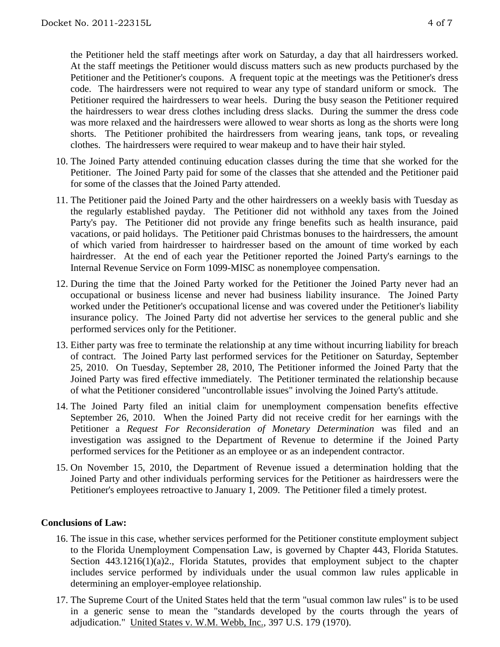the Petitioner held the staff meetings after work on Saturday, a day that all hairdressers worked. At the staff meetings the Petitioner would discuss matters such as new products purchased by the Petitioner and the Petitioner's coupons. A frequent topic at the meetings was the Petitioner's dress code. The hairdressers were not required to wear any type of standard uniform or smock. The Petitioner required the hairdressers to wear heels. During the busy season the Petitioner required the hairdressers to wear dress clothes including dress slacks. During the summer the dress code was more relaxed and the hairdressers were allowed to wear shorts as long as the shorts were long shorts. The Petitioner prohibited the hairdressers from wearing jeans, tank tops, or revealing clothes. The hairdressers were required to wear makeup and to have their hair styled.

- 10. The Joined Party attended continuing education classes during the time that she worked for the Petitioner. The Joined Party paid for some of the classes that she attended and the Petitioner paid for some of the classes that the Joined Party attended.
- 11. The Petitioner paid the Joined Party and the other hairdressers on a weekly basis with Tuesday as the regularly established payday. The Petitioner did not withhold any taxes from the Joined Party's pay. The Petitioner did not provide any fringe benefits such as health insurance, paid vacations, or paid holidays. The Petitioner paid Christmas bonuses to the hairdressers, the amount of which varied from hairdresser to hairdresser based on the amount of time worked by each hairdresser. At the end of each year the Petitioner reported the Joined Party's earnings to the Internal Revenue Service on Form 1099-MISC as nonemployee compensation.
- 12. During the time that the Joined Party worked for the Petitioner the Joined Party never had an occupational or business license and never had business liability insurance. The Joined Party worked under the Petitioner's occupational license and was covered under the Petitioner's liability insurance policy. The Joined Party did not advertise her services to the general public and she performed services only for the Petitioner.
- 13. Either party was free to terminate the relationship at any time without incurring liability for breach of contract. The Joined Party last performed services for the Petitioner on Saturday, September 25, 2010. On Tuesday, September 28, 2010, The Petitioner informed the Joined Party that the Joined Party was fired effective immediately. The Petitioner terminated the relationship because of what the Petitioner considered "uncontrollable issues" involving the Joined Party's attitude.
- 14. The Joined Party filed an initial claim for unemployment compensation benefits effective September 26, 2010. When the Joined Party did not receive credit for her earnings with the Petitioner a *Request For Reconsideration of Monetary Determination* was filed and an investigation was assigned to the Department of Revenue to determine if the Joined Party performed services for the Petitioner as an employee or as an independent contractor.
- 15. On November 15, 2010, the Department of Revenue issued a determination holding that the Joined Party and other individuals performing services for the Petitioner as hairdressers were the Petitioner's employees retroactive to January 1, 2009. The Petitioner filed a timely protest.

#### **Conclusions of Law:**

- 16. The issue in this case, whether services performed for the Petitioner constitute employment subject to the Florida Unemployment Compensation Law, is governed by Chapter 443, Florida Statutes. Section  $443.1216(1)(a)2$ ., Florida Statutes, provides that employment subject to the chapter includes service performed by individuals under the usual common law rules applicable in determining an employer-employee relationship.
- 17. The Supreme Court of the United States held that the term "usual common law rules" is to be used in a generic sense to mean the "standards developed by the courts through the years of adjudication." United States v. W.M. Webb, Inc., 397 U.S. 179 (1970).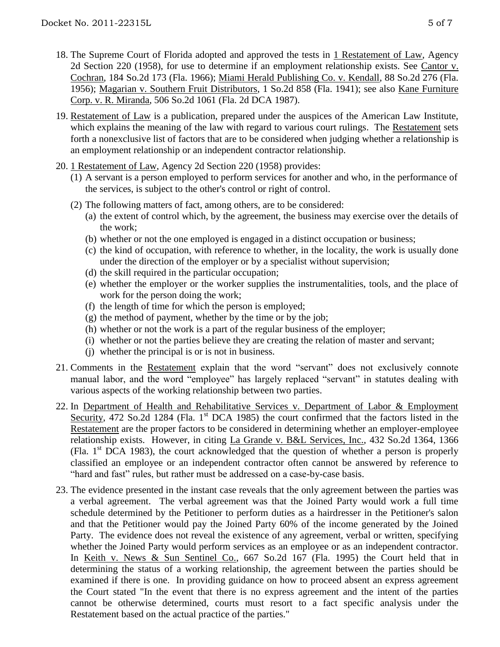- 18. The Supreme Court of Florida adopted and approved the tests in 1 Restatement of Law, Agency 2d Section 220 (1958), for use to determine if an employment relationship exists. See Cantor v. Cochran, 184 So.2d 173 (Fla. 1966); Miami Herald Publishing Co. v. Kendall, 88 So.2d 276 (Fla. 1956); Magarian v. Southern Fruit Distributors, 1 So.2d 858 (Fla. 1941); see also Kane Furniture Corp. v. R. Miranda, 506 So.2d 1061 (Fla. 2d DCA 1987).
- 19. Restatement of Law is a publication, prepared under the auspices of the American Law Institute, which explains the meaning of the law with regard to various court rulings. The Restatement sets forth a nonexclusive list of factors that are to be considered when judging whether a relationship is an employment relationship or an independent contractor relationship.
- 20. 1 Restatement of Law, Agency 2d Section 220 (1958) provides:
	- (1) A servant is a person employed to perform services for another and who, in the performance of the services, is subject to the other's control or right of control.
	- (2) The following matters of fact, among others, are to be considered:
		- (a) the extent of control which, by the agreement, the business may exercise over the details of the work;
		- (b) whether or not the one employed is engaged in a distinct occupation or business;
		- (c) the kind of occupation, with reference to whether, in the locality, the work is usually done under the direction of the employer or by a specialist without supervision;
		- (d) the skill required in the particular occupation;
		- (e) whether the employer or the worker supplies the instrumentalities, tools, and the place of work for the person doing the work;
		- (f) the length of time for which the person is employed;
		- (g) the method of payment, whether by the time or by the job;
		- (h) whether or not the work is a part of the regular business of the employer;
		- (i) whether or not the parties believe they are creating the relation of master and servant;
		- (j) whether the principal is or is not in business.
- 21. Comments in the Restatement explain that the word "servant" does not exclusively connote manual labor, and the word "employee" has largely replaced "servant" in statutes dealing with various aspects of the working relationship between two parties.
- 22. In Department of Health and Rehabilitative Services v. Department of Labor & Employment Security, 472 So.2d 1284 (Fla. 1<sup>st</sup> DCA 1985) the court confirmed that the factors listed in the Restatement are the proper factors to be considered in determining whether an employer-employee relationship exists. However, in citing La Grande v. B&L Services, Inc., 432 So.2d 1364, 1366 (Fla.  $1<sup>st</sup> DCA$  1983), the court acknowledged that the question of whether a person is properly classified an employee or an independent contractor often cannot be answered by reference to "hard and fast" rules, but rather must be addressed on a case-by-case basis.
- 23. The evidence presented in the instant case reveals that the only agreement between the parties was a verbal agreement. The verbal agreement was that the Joined Party would work a full time schedule determined by the Petitioner to perform duties as a hairdresser in the Petitioner's salon and that the Petitioner would pay the Joined Party 60% of the income generated by the Joined Party. The evidence does not reveal the existence of any agreement, verbal or written, specifying whether the Joined Party would perform services as an employee or as an independent contractor. In Keith v. News & Sun Sentinel Co., 667 So.2d 167 (Fla. 1995) the Court held that in determining the status of a working relationship, the agreement between the parties should be examined if there is one. In providing guidance on how to proceed absent an express agreement the Court stated "In the event that there is no express agreement and the intent of the parties cannot be otherwise determined, courts must resort to a fact specific analysis under the Restatement based on the actual practice of the parties."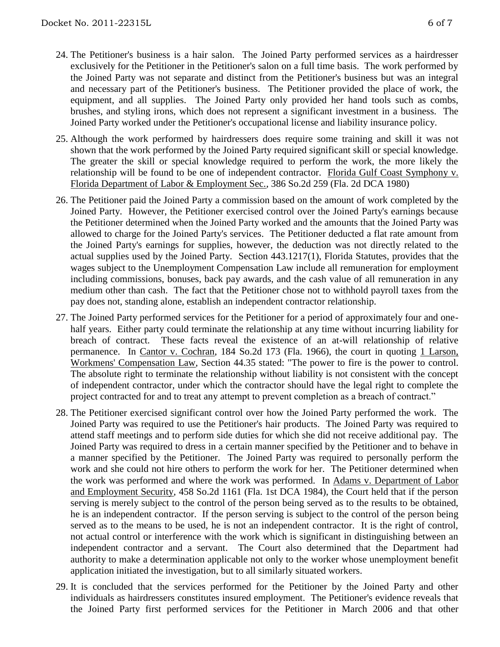- 24. The Petitioner's business is a hair salon. The Joined Party performed services as a hairdresser exclusively for the Petitioner in the Petitioner's salon on a full time basis. The work performed by the Joined Party was not separate and distinct from the Petitioner's business but was an integral and necessary part of the Petitioner's business. The Petitioner provided the place of work, the equipment, and all supplies. The Joined Party only provided her hand tools such as combs, brushes, and styling irons, which does not represent a significant investment in a business. The Joined Party worked under the Petitioner's occupational license and liability insurance policy.
- 25. Although the work performed by hairdressers does require some training and skill it was not shown that the work performed by the Joined Party required significant skill or special knowledge. The greater the skill or special knowledge required to perform the work, the more likely the relationship will be found to be one of independent contractor. Florida Gulf Coast Symphony v. Florida Department of Labor & Employment Sec., 386 So.2d 259 (Fla. 2d DCA 1980)
- 26. The Petitioner paid the Joined Party a commission based on the amount of work completed by the Joined Party. However, the Petitioner exercised control over the Joined Party's earnings because the Petitioner determined when the Joined Party worked and the amounts that the Joined Party was allowed to charge for the Joined Party's services. The Petitioner deducted a flat rate amount from the Joined Party's earnings for supplies, however, the deduction was not directly related to the actual supplies used by the Joined Party. Section 443.1217(1), Florida Statutes, provides that the wages subject to the Unemployment Compensation Law include all remuneration for employment including commissions, bonuses, back pay awards, and the cash value of all remuneration in any medium other than cash. The fact that the Petitioner chose not to withhold payroll taxes from the pay does not, standing alone, establish an independent contractor relationship.
- 27. The Joined Party performed services for the Petitioner for a period of approximately four and onehalf years. Either party could terminate the relationship at any time without incurring liability for breach of contract. These facts reveal the existence of an at-will relationship of relative permanence. In Cantor v. Cochran, 184 So.2d 173 (Fla. 1966), the court in quoting 1 Larson, Workmens' Compensation Law, Section 44.35 stated: "The power to fire is the power to control. The absolute right to terminate the relationship without liability is not consistent with the concept of independent contractor, under which the contractor should have the legal right to complete the project contracted for and to treat any attempt to prevent completion as a breach of contract."
- 28. The Petitioner exercised significant control over how the Joined Party performed the work. The Joined Party was required to use the Petitioner's hair products. The Joined Party was required to attend staff meetings and to perform side duties for which she did not receive additional pay. The Joined Party was required to dress in a certain manner specified by the Petitioner and to behave in a manner specified by the Petitioner. The Joined Party was required to personally perform the work and she could not hire others to perform the work for her. The Petitioner determined when the work was performed and where the work was performed. In Adams v. Department of Labor and Employment Security, 458 So.2d 1161 (Fla. 1st DCA 1984), the Court held that if the person serving is merely subject to the control of the person being served as to the results to be obtained, he is an independent contractor. If the person serving is subject to the control of the person being served as to the means to be used, he is not an independent contractor. It is the right of control, not actual control or interference with the work which is significant in distinguishing between an independent contractor and a servant. The Court also determined that the Department had authority to make a determination applicable not only to the worker whose unemployment benefit application initiated the investigation, but to all similarly situated workers.
- 29. It is concluded that the services performed for the Petitioner by the Joined Party and other individuals as hairdressers constitutes insured employment. The Petitioner's evidence reveals that the Joined Party first performed services for the Petitioner in March 2006 and that other